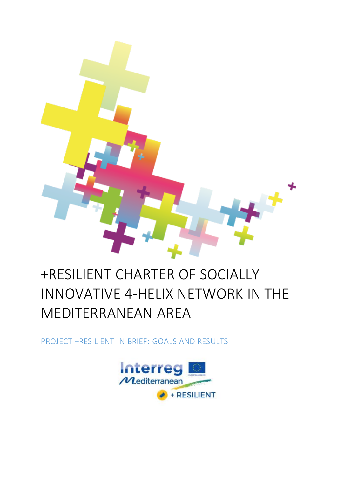

# +RESILIENT CHARTER OF SOCIALLY INNOVATIVE 4-HELIX NETWORK IN THE MEDITERRANEAN AREA

PROJECT +RESILIENT IN BRIEF: GOALS AND RESULTS

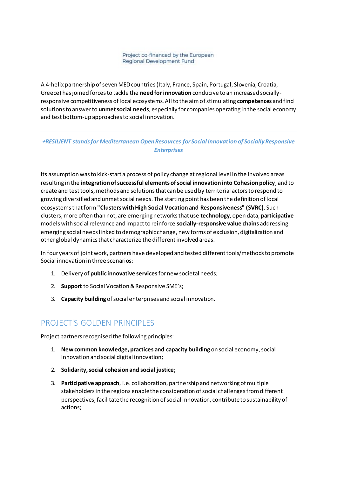Project co-financed by the European Regional Development Fund

A 4-helix partnership of seven MED countries (Italy, France, Spain, Portugal, Slovenia, Croatia, Greece) has joined forces to tackle the **need for innovation** conducive to an increased sociallyresponsive competitiveness of local ecosystems. All to the aim of stimulating **competences** and find solutions to answer to **unmet social needs**, especially for companies operating in the social economy and test bottom-up approaches to social innovation.

#### *+RESILIENT stands for Mediterranean Open Resources for Social Innovation of Socially Responsive Enterprises*

Its assumption was to kick-start a process of policy change at regional level in the involved areas resulting in the **integration of successful elements of social innovation into Cohesion policy**, and to create and testtools, methods and solutions that can be used by territorial actors to respond to growing diversified and unmet social needs. The starting point has been the definition of local ecosystems that form **"Clusters with High Social Vocation and Responsiveness" (SVRC)**. Such clusters, more often than not, are emerging networks that use **technology**, open data, **participative** models with social relevance and impact to reinforce **socially-responsive value chains** addressing emerging social needs linked to demographic change, new forms of exclusion, digitalization and other global dynamics that characterize the different involved areas.

In four years of joint work, partners have developed and tested different tools/methods to promote Social innovation in three scenarios:

- 1. Delivery of **public innovative services** for new societal needs;
- 2. **Support** to Social Vocation & Responsive SME's;
- 3. **Capacity building** of social enterprises and social innovation.

## PROJECT'S GOLDEN PRINCIPLES

Project partners recognised the following principles:

- 1. **New common knowledge, practices and capacity building** on social economy, social innovation and social digital innovation;
- 2. **Solidarity, social cohesion and social justice;**
- 3. **Participative approach**, i.e. collaboration, partnership and networking of multiple stakeholders in the regions enable the consideration of social challenges from different perspectives, facilitate the recognition of social innovation, contribute to sustainability of actions;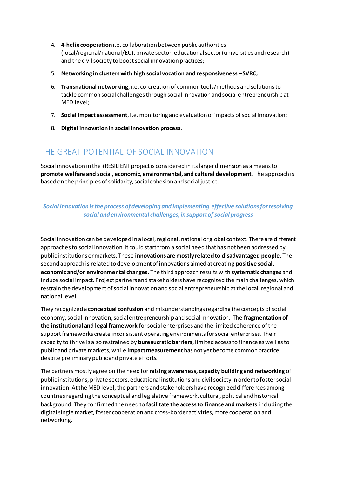- 4. **4-helix cooperation** i.e. collaboration between public authorities (local/regional/national/EU), private sector, educational sector (universities and research) and the civil society to boost social innovation practices;
- 5. **Networking in clusters with high social vocation and responsiveness –SVRC;**
- 6. **Transnational networking**, i.e. co-creation of common tools/methods and solutions to tackle common social challenges through social innovation and social entrepreneurship at MED level;
- 7. **Social impact assessment**, i.e. monitoring and evaluation of impacts of social innovation;
- 8. **Digital innovation in social innovation process.**

## THE GREAT POTENTIAL OF SOCIAL INNOVATION

Social innovation in the +RESILIENT project is considered in its larger dimension as a means to **promote welfare and social, economic, environmental, and cultural development**. The approach is based on the principles of solidarity, social cohesion and social justice.

*Social innovation is the process of developing and implementing effective solutions for resolving social and environmental challenges, in support of social progress*

Social innovation can be developed in a local, regional, national or global context. There are different approaches to social innovation. It could start from a social need that has not been addressed by public institutions or markets. These **innovations are mostly related to disadvantaged people**. The second approach is related to development of innovations aimed at creating **positive social, economic and/or environmental changes**. The third approach results with **systematic changes** and induce social impact. Project partners and stakeholders have recognized the main challenges, which restrain the development of social innovation and social entrepreneurship at the local, regional and national level.

They recognized a **conceptual confusion** and misunderstandings regarding the concepts of social economy, social innovation, social entrepreneurship and social innovation. The **fragmentation of the institutional and legal framework** for social enterprises and the limited coherence of the support frameworks create inconsistent operating environments for social enterprises. Their capacity to thrive is also restrained by **bureaucratic barriers**, limited access to finance as well as to public and private markets, while **impact measurement** has not yet become common practice despite preliminary public and private efforts.

The partners mostly agree on the need for **raising awareness, capacity building and networking** of public institutions, private sectors, educational institutions and civil society in order to foster social innovation. At the MED level, the partners and stakeholders have recognized differences among countries regarding the conceptual and legislative framework, cultural, political and historical background. They confirmed the need to **facilitate the access to finance and markets** including the digital single market, foster cooperation and cross-border activities, more cooperation and networking.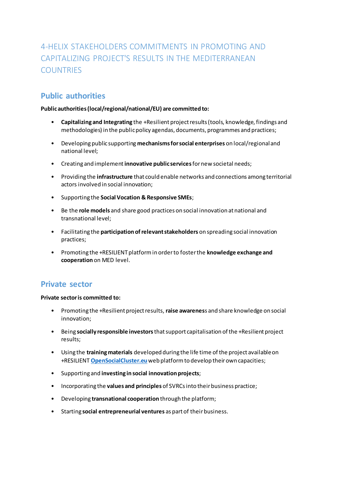## 4-HELIX STAKEHOLDERS COMMITMENTS IN PROMOTING AND CAPITALIZING PROJECT'S RESULTS IN THE MEDITERRANEAN **COUNTRIES**

## **Public authorities**

#### **Public authorities (local/regional/national/EU) are committed to:**

- **Capitalizing and Integrating** the +Resilient project results (tools, knowledge, findings and methodologies) in the public policy agendas, documents, programmes and practices;
- Developing public supporting **mechanisms for social enterprises** on local/regional and national level;
- Creating and implement **innovative public services**for new societal needs;
- Providing the **infrastructure** that could enable networks and connections among territorial actors involved in social innovation;
- Supporting the **Social Vocation & Responsive SMEs**;
- Be the **role models** and share good practices on social innovation at national and transnational level;
- Facilitating the **participation of relevant stakeholders** on spreading social innovation practices;
- Promoting the +RESILIENT platform in order to foster the **knowledge exchange and cooperation** on MED level.

### **Private sector**

**Private sector is committed to:**

- Promoting the +Resilient project results, **raise awarenes**s and share knowledge on social innovation;
- Being **socially responsible investors**that support capitalisation of the +Resilient project results;
- Using the **training materials** developed during the life time of the project available on +RESILIENT **[OpenSocialCluster.eu](https://opensocialclusters.eu/)** web platform to develop their own capacities;
- Supporting and **investing in social innovation projects**;
- Incorporating the **values and principles** of SVRCs into their business practice;
- Developing **transnational cooperation** through the platform;
- Starting **social entrepreneurial ventures** as part of their business.